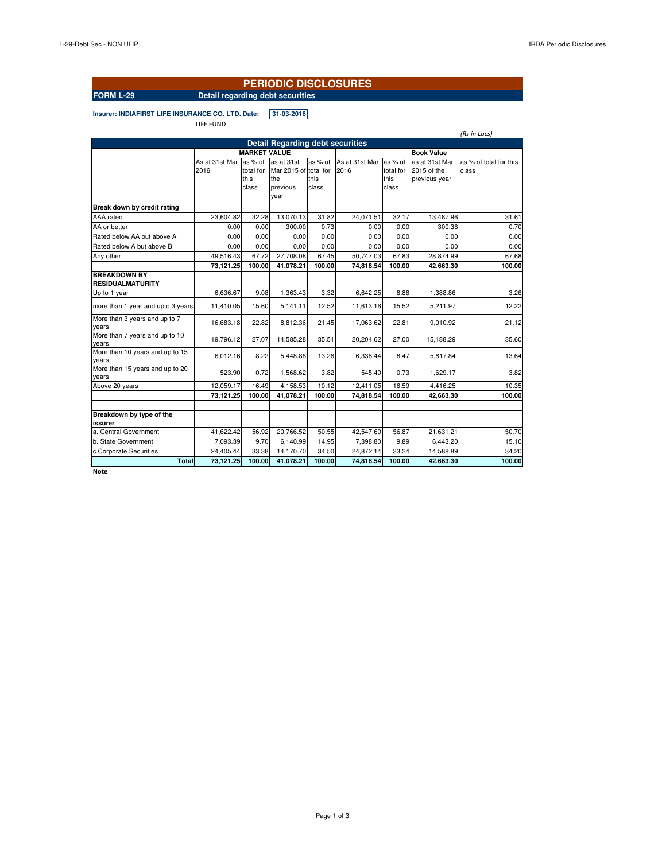### **PERIODIC DISCLOSURES**

### **FORM L-29 Detail regarding debt securities**

**Insurer: INDIAFIRST LIFE INSURANCE CO. LTD. Date: 31-03-2016**

LIFE FUND

|                                          |                        |                                       |                                                        |                          |                        |                                       |                                                | (Rs in Lacs)                    |
|------------------------------------------|------------------------|---------------------------------------|--------------------------------------------------------|--------------------------|------------------------|---------------------------------------|------------------------------------------------|---------------------------------|
|                                          |                        |                                       | <b>Detail Regarding debt securities</b>                |                          |                        |                                       |                                                |                                 |
|                                          |                        |                                       |                                                        |                          |                        |                                       |                                                |                                 |
|                                          |                        | <b>MARKET VALUE</b>                   |                                                        |                          |                        |                                       | <b>Book Value</b>                              |                                 |
|                                          | As at 31st Mar<br>2016 | as % of<br>total for<br>this<br>class | as at 31st<br>Mar 2015 of total for<br>the<br>previous | as % of<br>this<br>class | As at 31st Mar<br>2016 | as % of<br>total for<br>this<br>class | as at 31st Mar<br>2015 of the<br>previous year | as % of total for this<br>class |
|                                          |                        |                                       | year                                                   |                          |                        |                                       |                                                |                                 |
| Break down by credit rating              |                        |                                       |                                                        |                          |                        |                                       |                                                |                                 |
| AAA rated                                | 23,604.82              | 32.28                                 | 13,070.13                                              | 31.82                    | 24,071.51              | 32.17                                 | 13,487.96                                      | 31.61                           |
| AA or better                             | 0.00                   | 0.00                                  | 300.00                                                 | 0.73                     | 0.00                   | 0.00                                  | 300.36                                         | 0.70                            |
| Rated below AA but above A               | 0.00                   | 0.00                                  | 0.00                                                   | 0.00                     | 0.00                   | 0.00                                  | 0.00                                           | 0.00                            |
| Rated below A but above B                | 0.00                   | 0.00                                  | 0.00                                                   | 0.00                     | 0.00                   | 0.00                                  | 0.00                                           | 0.00                            |
| Any other                                | 49.516.43              | 67.72                                 | 27,708.08                                              | 67.45                    | 50,747.03              | 67.83                                 | 28.874.99                                      | 67.68                           |
|                                          | 73,121.25              | 100.00                                | 41,078.21                                              | 100.00                   | 74,818.54              | 100.00                                | 42,663.30                                      | 100.00                          |
| <b>BREAKDOWN BY</b><br>RESIDUALMATURITY  |                        |                                       |                                                        |                          |                        |                                       |                                                |                                 |
| Up to 1 year                             | 6,636.67               | 9.08                                  | 1,363.43                                               | 3.32                     | 6,642.25               | 8.88                                  | 1,388.86                                       | 3.26                            |
| more than 1 year and upto 3 years        | 11,410.05              | 15.60                                 | 5,141.11                                               | 12.52                    | 11,613.16              | 15.52                                 | 5.211.97                                       | 12.22                           |
| More than 3 years and up to 7<br>years   | 16,683.18              | 22.82                                 | 8,812.36                                               | 21.45                    | 17,063.62              | 22.81                                 | 9,010.92                                       | 21.12                           |
| More than 7 years and up to 10<br>years  | 19,796.12              | 27.07                                 | 14,585.28                                              | 35.51                    | 20,204.62              | 27.00                                 | 15,188.29                                      | 35.60                           |
| More than 10 years and up to 15<br>years | 6,012.16               | 8.22                                  | 5,448.88                                               | 13.26                    | 6,338.44               | 8.47                                  | 5,817.84                                       | 13.64                           |
| More than 15 years and up to 20<br>years | 523.90                 | 0.72                                  | 1,568.62                                               | 3.82                     | 545.40                 | 0.73                                  | 1,629.17                                       | 3.82                            |
| Above 20 years                           | 12,059.17              | 16.49                                 | 4,158.53                                               | 10.12                    | 12,411.05              | 16.59                                 | 4,416.25                                       | 10.35                           |
|                                          | 73,121.25              | 100.00                                | 41,078.21                                              | 100.00                   | 74,818.54              | 100.00                                | 42,663.30                                      | 100.00                          |
|                                          |                        |                                       |                                                        |                          |                        |                                       |                                                |                                 |
| Breakdown by type of the<br>issurer      |                        |                                       |                                                        |                          |                        |                                       |                                                |                                 |
| a. Central Government                    | 41,622.42              | 56.92                                 | 20,766.52                                              | 50.55                    | 42,547.60              | 56.87                                 | 21,631.21                                      | 50.70                           |
| b. State Government                      | 7,093.39               | 9.70                                  | 6,140.99                                               | 14.95                    | 7,398.80               | 9.89                                  | 6,443.20                                       | 15.10                           |
| c.Corporate Securities                   | 24,405.44              | 33.38                                 | 14,170.70                                              | 34.50                    | 24,872.14              | 33.24                                 | 14,588.89                                      | 34.20                           |
| <b>Total</b>                             | 73,121.25              | 100.00                                | 41,078.21                                              | 100.00                   | 74,818.54              | 100.00                                | 42,663.30                                      | 100.00                          |
| <b>Maka</b>                              |                        |                                       |                                                        |                          |                        |                                       |                                                |                                 |

**Note**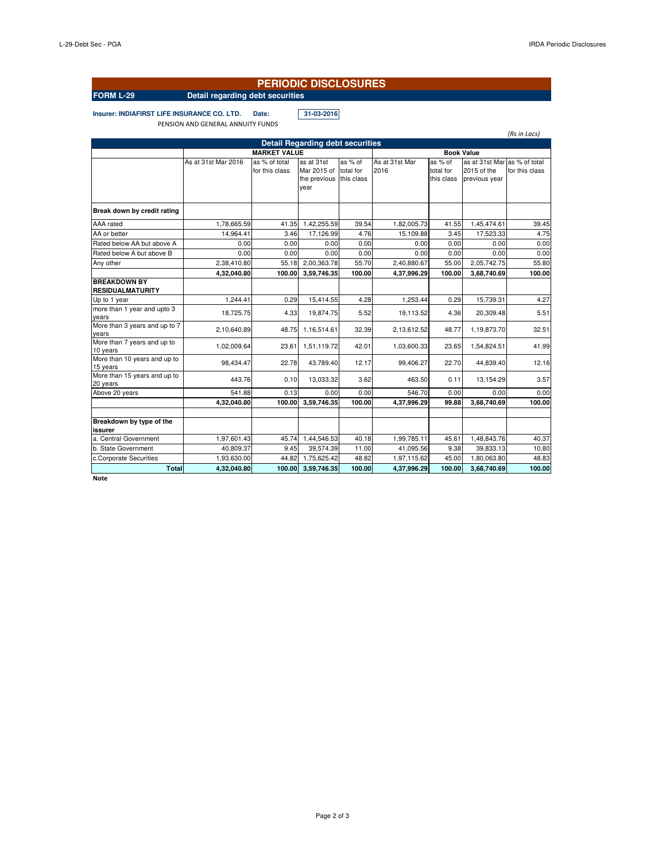# **PERIODIC DISCLOSURES**

# **FORM L-29 Detail regarding debt securities**

**Insurer: INDIAFIRST LIFE INSURANCE CO. LTD. Date: 31-03-2016** PENSION AND GENERAL ANNUITY FUNDS

|                                                |                     |                                 |                                                   |                                    |                        |                                    |                                                              | (Rs in Lacs)   |  |
|------------------------------------------------|---------------------|---------------------------------|---------------------------------------------------|------------------------------------|------------------------|------------------------------------|--------------------------------------------------------------|----------------|--|
| <b>Detail Regarding debt securities</b>        |                     |                                 |                                                   |                                    |                        |                                    |                                                              |                |  |
|                                                |                     | <b>Book Value</b>               |                                                   |                                    |                        |                                    |                                                              |                |  |
|                                                | As at 31st Mar 2016 | as % of total<br>for this class | as at 31st<br>Mar 2015 of<br>the previous<br>year | as % of<br>total for<br>this class | As at 31st Mar<br>2016 | as % of<br>total for<br>this class | as at 31st Mar as % of total<br>2015 of the<br>previous year | for this class |  |
| Break down by credit rating                    |                     |                                 |                                                   |                                    |                        |                                    |                                                              |                |  |
| AAA rated                                      | 1,78,665.59         | 41.35                           | 1,42,255.59                                       | 39.54                              | 1,82,005.73            | 41.55                              | 1,45,474.61                                                  | 39.45          |  |
| AA or better                                   | 14,964.41           | 3.46                            | 17,126.99                                         | 4.76                               | 15,109.88              | 3.45                               | 17,523.33                                                    | 4.75           |  |
| Rated below AA but above A                     | 0.00                | 0.00                            | 0.00                                              | 0.00                               | 0.00                   | 0.00                               | 0.00                                                         | 0.00           |  |
| Rated below A but above B                      | 0.00                | 0.00                            | 0.00                                              | 0.00                               | 0.00                   | 0.00                               | 0.00                                                         | 0.00           |  |
| Any other                                      | 2,38,410.80         | 55.18                           | 2,00,363.78                                       | 55.70                              | 2,40,880.67            | 55.00                              | 2,05,742.75                                                  | 55.80          |  |
|                                                | 4,32,040.80         | 100.00                          | 3,59,746.35                                       | 100.00                             | 4,37,996.29            | 100.00                             | 3,68,740.69                                                  | 100.00         |  |
| <b>BREAKDOWN BY</b><br><b>RESIDUALMATURITY</b> |                     |                                 |                                                   |                                    |                        |                                    |                                                              |                |  |
| Up to 1 year                                   | 1.244.41            | 0.29                            | 15,414.55                                         | 4.28                               | 1,253.44               | 0.29                               | 15.739.31                                                    | 4.27           |  |
| more than 1 year and upto 3<br>years           | 18,725.75           | 4.33                            | 19,874.75                                         | 5.52                               | 19,113.52              | 4.36                               | 20,309.48                                                    | 5.51           |  |
| More than 3 years and up to 7<br>years         | 2,10,640.89         | 48.75                           | 1,16,514.61                                       | 32.39                              | 2,13,612.52            | 48.77                              | 1,19,873.70                                                  | 32.51          |  |
| More than 7 years and up to<br>10 years        | 1,02,009.64         | 23.61                           | 1,51,119.72                                       | 42.01                              | 1,03,600.33            | 23.65                              | 1,54,824.51                                                  | 41.99          |  |
| More than 10 years and up to<br>15 years       | 98.434.47           | 22.78                           | 43,789.40                                         | 12.17                              | 99,406.27              | 22.70                              | 44,839.40                                                    | 12.16          |  |
| More than 15 years and up to<br>20 years       | 443.76              | 0.10                            | 13,033.32                                         | 3.62                               | 463.50                 | 0.11                               | 13,154.29                                                    | 3.57           |  |
| Above 20 years                                 | 541.88              | 0.13                            | 0.00                                              | 0.00                               | 546.70                 | 0.00                               | 0.00                                                         | 0.00           |  |
|                                                | 4.32.040.80         | 100.00                          | 3,59,746.35                                       | 100.00                             | 4.37.996.29            | 99.88                              | 3,68,740.69                                                  | 100.00         |  |
| Breakdown by type of the<br>issurer            |                     |                                 |                                                   |                                    |                        |                                    |                                                              |                |  |
| a. Central Government                          | 1,97,601.43         | 45.74                           | 1,44,546.53                                       | 40.18                              | 1,99,785.11            | 45.61                              | 1,48,843.76                                                  | 40.37          |  |
| b. State Government                            | 40,809.37           | 9.45                            | 39,574.39                                         | 11.00                              | 41,095.56              | 9.38                               | 39,833.13                                                    | 10.80          |  |
| c.Corporate Securities                         | 1,93,630.00         | 44.82                           | 1,75,625.42                                       | 48.82                              | 1,97,115.62            | 45.00                              | 1,80,063.80                                                  | 48.83          |  |
| <b>Total</b>                                   | 4,32,040.80         | 100.00                          | 3,59,746.35                                       | 100.00                             | 4,37,996.29            | 100.00                             | 3,68,740.69                                                  | 100.00         |  |

**Note**